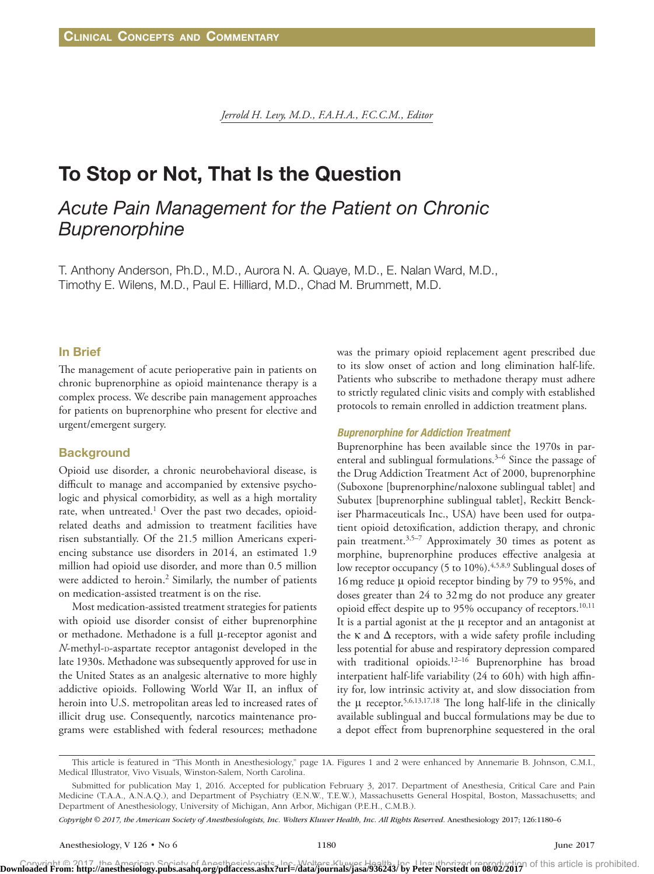*Jerrold H. Levy, M.D., F.A.H.A., F.C.C.M., Editor*

# To Stop or Not, That Is the Question

# *Acute Pain Management for the Patient on Chronic Buprenorphine*

T. Anthony Anderson, Ph.D., M.D., Aurora N. A. Quaye, M.D., E. Nalan Ward, M.D., Timothy E. Wilens, M.D., Paul E. Hilliard, M.D., Chad M. Brummett, M.D.

## In Brief

The management of acute perioperative pain in patients on chronic buprenorphine as opioid maintenance therapy is a complex process. We describe pain management approaches for patients on buprenorphine who present for elective and urgent/emergent surgery.

#### **Background**

Opioid use disorder, a chronic neurobehavioral disease, is difficult to manage and accompanied by extensive psychologic and physical comorbidity, as well as a high mortality rate, when untreated.<sup>1</sup> Over the past two decades, opioidrelated deaths and admission to treatment facilities have risen substantially. Of the 21.5 million Americans experiencing substance use disorders in 2014, an estimated 1.9 million had opioid use disorder, and more than 0.5 million were addicted to heroin.<sup>2</sup> Similarly, the number of patients on medication-assisted treatment is on the rise.

Most medication-assisted treatment strategies for patients with opioid use disorder consist of either buprenorphine or methadone. Methadone is a full μ-receptor agonist and *N*-methyl-D-aspartate receptor antagonist developed in the late 1930s. Methadone was subsequently approved for use in the United States as an analgesic alternative to more highly addictive opioids. Following World War II, an influx of heroin into U.S. metropolitan areas led to increased rates of illicit drug use. Consequently, narcotics maintenance programs were established with federal resources; methadone was the primary opioid replacement agent prescribed due to its slow onset of action and long elimination half-life. Patients who subscribe to methadone therapy must adhere to strictly regulated clinic visits and comply with established protocols to remain enrolled in addiction treatment plans.

#### *Buprenorphine for Addiction Treatment*

Buprenorphine has been available since the 1970s in parenteral and sublingual formulations.<sup>3-6</sup> Since the passage of the Drug Addiction Treatment Act of 2000, buprenorphine (Suboxone [buprenorphine/naloxone sublingual tablet] and Subutex [buprenorphine sublingual tablet], Reckitt Benckiser Pharmaceuticals Inc., USA) have been used for outpatient opioid detoxification, addiction therapy, and chronic pain treatment.<sup>3,5–7</sup> Approximately 30 times as potent as morphine, buprenorphine produces effective analgesia at low receptor occupancy (5 to 10%).<sup>4,5,8,9</sup> Sublingual doses of 16mg reduce μ opioid receptor binding by 79 to 95%, and doses greater than 24 to 32mg do not produce any greater opioid effect despite up to 95% occupancy of receptors.<sup>10,11</sup> It is a partial agonist at the μ receptor and an antagonist at the  $\kappa$  and  $\Delta$  receptors, with a wide safety profile including less potential for abuse and respiratory depression compared with traditional opioids.<sup>12-16</sup> Buprenorphine has broad interpatient half-life variability (24 to 60h) with high affinity for, low intrinsic activity at, and slow dissociation from the  $\mu$  receptor.<sup>5,6,13,17,18</sup> The long half-life in the clinically available sublingual and buccal formulations may be due to a depot effect from buprenorphine sequestered in the oral

*Copyright © 2017, the American Society of Anesthesiologists, Inc. Wolters Kluwer Health, Inc. All Rights Reserved.* Anesthesiology 2017; 126:1180–6

This article is featured in "This Month in Anesthesiology," page 1A. Figures 1 and 2 were enhanced by Annemarie B. Johnson, C.M.I., Medical Illustrator, Vivo Visuals, Winston-Salem, North Carolina.

Submitted for publication May 1, 2016. Accepted for publication February 3, 2017. Department of Anesthesia, Critical Care and Pain Medicine (T.A.A., A.N.A.Q.), and Department of Psychiatry (E.N.W., T.E.W.), Massachusetts General Hospital, Boston, Massachusetts; and Department of Anesthesiology, University of Michigan, Ann Arbor, Michigan (P.E.H., C.M.B.).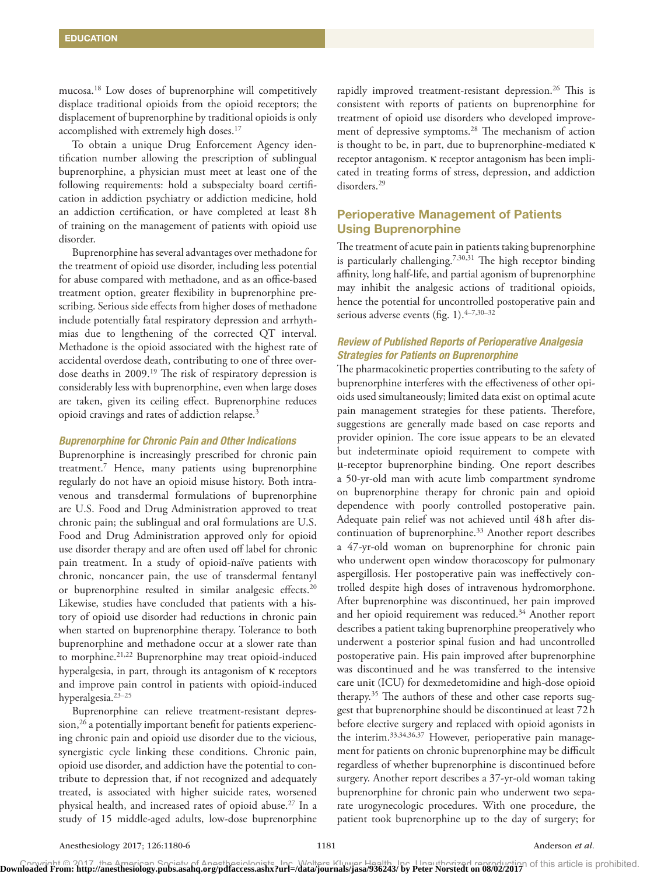mucosa.18 Low doses of buprenorphine will competitively displace traditional opioids from the opioid receptors; the displacement of buprenorphine by traditional opioids is only accomplished with extremely high doses.<sup>17</sup>

To obtain a unique Drug Enforcement Agency identification number allowing the prescription of sublingual buprenorphine, a physician must meet at least one of the following requirements: hold a subspecialty board certification in addiction psychiatry or addiction medicine, hold an addiction certification, or have completed at least 8h of training on the management of patients with opioid use disorder.

Buprenorphine has several advantages over methadone for the treatment of opioid use disorder, including less potential for abuse compared with methadone, and as an office-based treatment option, greater flexibility in buprenorphine prescribing. Serious side effects from higher doses of methadone include potentially fatal respiratory depression and arrhythmias due to lengthening of the corrected QT interval. Methadone is the opioid associated with the highest rate of accidental overdose death, contributing to one of three overdose deaths in 2009.<sup>19</sup> The risk of respiratory depression is considerably less with buprenorphine, even when large doses are taken, given its ceiling effect. Buprenorphine reduces opioid cravings and rates of addiction relapse.3

#### *Buprenorphine for Chronic Pain and Other Indications*

Buprenorphine is increasingly prescribed for chronic pain treatment.7 Hence, many patients using buprenorphine regularly do not have an opioid misuse history. Both intravenous and transdermal formulations of buprenorphine are U.S. Food and Drug Administration approved to treat chronic pain; the sublingual and oral formulations are U.S. Food and Drug Administration approved only for opioid use disorder therapy and are often used off label for chronic pain treatment. In a study of opioid-naïve patients with chronic, noncancer pain, the use of transdermal fentanyl or buprenorphine resulted in similar analgesic effects.<sup>20</sup> Likewise, studies have concluded that patients with a history of opioid use disorder had reductions in chronic pain when started on buprenorphine therapy. Tolerance to both buprenorphine and methadone occur at a slower rate than to morphine.21,22 Buprenorphine may treat opioid-induced hyperalgesia, in part, through its antagonism of κ receptors and improve pain control in patients with opioid-induced hyperalgesia.23–25

Buprenorphine can relieve treatment-resistant depres $sion, <sup>26</sup>$  a potentially important benefit for patients experiencing chronic pain and opioid use disorder due to the vicious, synergistic cycle linking these conditions. Chronic pain, opioid use disorder, and addiction have the potential to contribute to depression that, if not recognized and adequately treated, is associated with higher suicide rates, worsened physical health, and increased rates of opioid abuse.<sup>27</sup> In a study of 15 middle-aged adults, low-dose buprenorphine

rapidly improved treatment-resistant depression.<sup>26</sup> This is consistent with reports of patients on buprenorphine for treatment of opioid use disorders who developed improvement of depressive symptoms.<sup>28</sup> The mechanism of action is thought to be, in part, due to buprenorphine-mediated κ receptor antagonism. κ receptor antagonism has been implicated in treating forms of stress, depression, and addiction disorders.29

# Perioperative Management of Patients Using Buprenorphine

The treatment of acute pain in patients taking buprenorphine is particularly challenging.<sup>7,30,31</sup> The high receptor binding affinity, long half-life, and partial agonism of buprenorphine may inhibit the analgesic actions of traditional opioids, hence the potential for uncontrolled postoperative pain and serious adverse events (fig. 1). 4–7,30–32

# *Review of Published Reports of Perioperative Analgesia Strategies for Patients on Buprenorphine*

The pharmacokinetic properties contributing to the safety of buprenorphine interferes with the effectiveness of other opioids used simultaneously; limited data exist on optimal acute pain management strategies for these patients. Therefore, suggestions are generally made based on case reports and provider opinion. The core issue appears to be an elevated but indeterminate opioid requirement to compete with μ-receptor buprenorphine binding. One report describes a 50-yr-old man with acute limb compartment syndrome on buprenorphine therapy for chronic pain and opioid dependence with poorly controlled postoperative pain. Adequate pain relief was not achieved until 48h after discontinuation of buprenorphine.<sup>33</sup> Another report describes a 47-yr-old woman on buprenorphine for chronic pain who underwent open window thoracoscopy for pulmonary aspergillosis. Her postoperative pain was ineffectively controlled despite high doses of intravenous hydromorphone. After buprenorphine was discontinued, her pain improved and her opioid requirement was reduced.<sup>34</sup> Another report describes a patient taking buprenorphine preoperatively who underwent a posterior spinal fusion and had uncontrolled postoperative pain. His pain improved after buprenorphine was discontinued and he was transferred to the intensive care unit (ICU) for dexmedetomidine and high-dose opioid therapy.35 The authors of these and other case reports suggest that buprenorphine should be discontinued at least 72h before elective surgery and replaced with opioid agonists in the interim.<sup>33,34,36,37</sup> However, perioperative pain management for patients on chronic buprenorphine may be difficult regardless of whether buprenorphine is discontinued before surgery. Another report describes a 37-yr-old woman taking buprenorphine for chronic pain who underwent two separate urogynecologic procedures. With one procedure, the patient took buprenorphine up to the day of surgery; for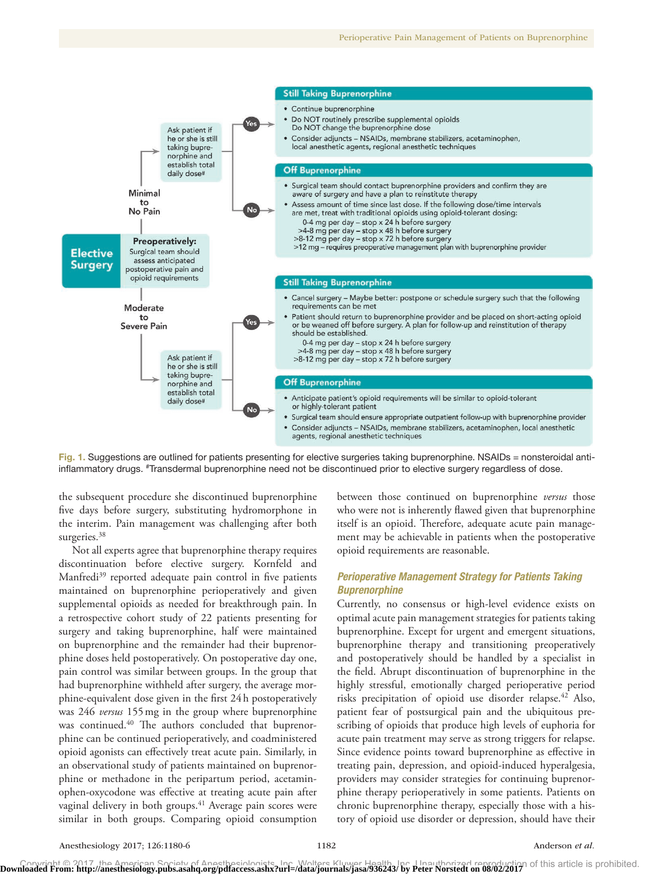

Fig. 1. Suggestions are outlined for patients presenting for elective surgeries taking buprenorphine. NSAIDs = nonsteroidal antiinflammatory drugs. #Transdermal buprenorphine need not be discontinued prior to elective surgery regardless of dose.

the subsequent procedure she discontinued buprenorphine five days before surgery, substituting hydromorphone in the interim. Pain management was challenging after both surgeries.<sup>38</sup>

Not all experts agree that buprenorphine therapy requires discontinuation before elective surgery. Kornfeld and Manfredi<sup>39</sup> reported adequate pain control in five patients maintained on buprenorphine perioperatively and given supplemental opioids as needed for breakthrough pain. In a retrospective cohort study of 22 patients presenting for surgery and taking buprenorphine, half were maintained on buprenorphine and the remainder had their buprenorphine doses held postoperatively. On postoperative day one, pain control was similar between groups. In the group that had buprenorphine withheld after surgery, the average morphine-equivalent dose given in the first 24h postoperatively was 246 *versus* 155mg in the group where buprenorphine was continued.<sup>40</sup> The authors concluded that buprenorphine can be continued perioperatively, and coadministered opioid agonists can effectively treat acute pain. Similarly, in an observational study of patients maintained on buprenorphine or methadone in the peripartum period, acetaminophen-oxycodone was effective at treating acute pain after vaginal delivery in both groups.<sup>41</sup> Average pain scores were similar in both groups. Comparing opioid consumption

between those continued on buprenorphine *versus* those who were not is inherently flawed given that buprenorphine itself is an opioid. Therefore, adequate acute pain management may be achievable in patients when the postoperative opioid requirements are reasonable.

## *Perioperative Management Strategy for Patients Taking Buprenorphine*

Currently, no consensus or high-level evidence exists on optimal acute pain management strategies for patients taking buprenorphine. Except for urgent and emergent situations, buprenorphine therapy and transitioning preoperatively and postoperatively should be handled by a specialist in the field. Abrupt discontinuation of buprenorphine in the highly stressful, emotionally charged perioperative period risks precipitation of opioid use disorder relapse.<sup>42</sup> Also, patient fear of postsurgical pain and the ubiquitous prescribing of opioids that produce high levels of euphoria for acute pain treatment may serve as strong triggers for relapse. Since evidence points toward buprenorphine as effective in treating pain, depression, and opioid-induced hyperalgesia, providers may consider strategies for continuing buprenorphine therapy perioperatively in some patients. Patients on chronic buprenorphine therapy, especially those with a history of opioid use disorder or depression, should have their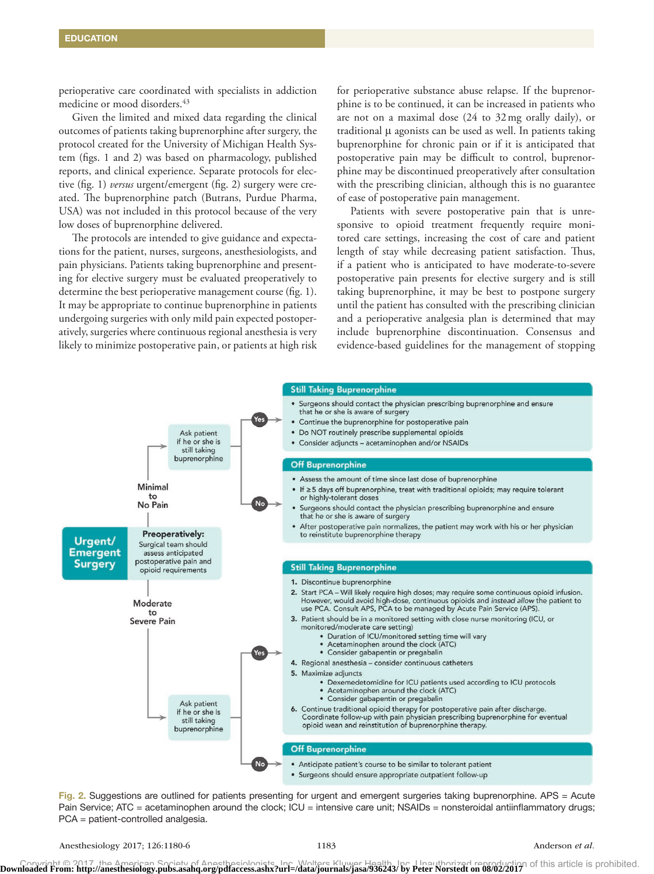perioperative care coordinated with specialists in addiction medicine or mood disorders.<sup>43</sup>

Given the limited and mixed data regarding the clinical outcomes of patients taking buprenorphine after surgery, the protocol created for the University of Michigan Health System (figs. 1 and 2) was based on pharmacology, published reports, and clinical experience. Separate protocols for elective (fig. 1) *versus* urgent/emergent (fig. 2) surgery were created. The buprenorphine patch (Butrans, Purdue Pharma, USA) was not included in this protocol because of the very low doses of buprenorphine delivered.

The protocols are intended to give guidance and expectations for the patient, nurses, surgeons, anesthesiologists, and pain physicians. Patients taking buprenorphine and presenting for elective surgery must be evaluated preoperatively to determine the best perioperative management course (fig. 1). It may be appropriate to continue buprenorphine in patients undergoing surgeries with only mild pain expected postoperatively, surgeries where continuous regional anesthesia is very likely to minimize postoperative pain, or patients at high risk

for perioperative substance abuse relapse. If the buprenorphine is to be continued, it can be increased in patients who are not on a maximal dose (24 to 32mg orally daily), or traditional μ agonists can be used as well. In patients taking buprenorphine for chronic pain or if it is anticipated that postoperative pain may be difficult to control, buprenorphine may be discontinued preoperatively after consultation with the prescribing clinician, although this is no guarantee of ease of postoperative pain management.

Patients with severe postoperative pain that is unresponsive to opioid treatment frequently require monitored care settings, increasing the cost of care and patient length of stay while decreasing patient satisfaction. Thus, if a patient who is anticipated to have moderate-to-severe postoperative pain presents for elective surgery and is still taking buprenorphine, it may be best to postpone surgery until the patient has consulted with the prescribing clinician and a perioperative analgesia plan is determined that may include buprenorphine discontinuation. Consensus and evidence-based guidelines for the management of stopping



Fig. 2. Suggestions are outlined for patients presenting for urgent and emergent surgeries taking buprenorphine. APS = Acute Pain Service; ATC = acetaminophen around the clock; ICU = intensive care unit; NSAIDs = nonsteroidal antiinflammatory drugs; PCA = patient-controlled analgesia.

Anesthesiology 2017; 126:1180-6 1183 **Anderson** *et al.* Anderson *et al.*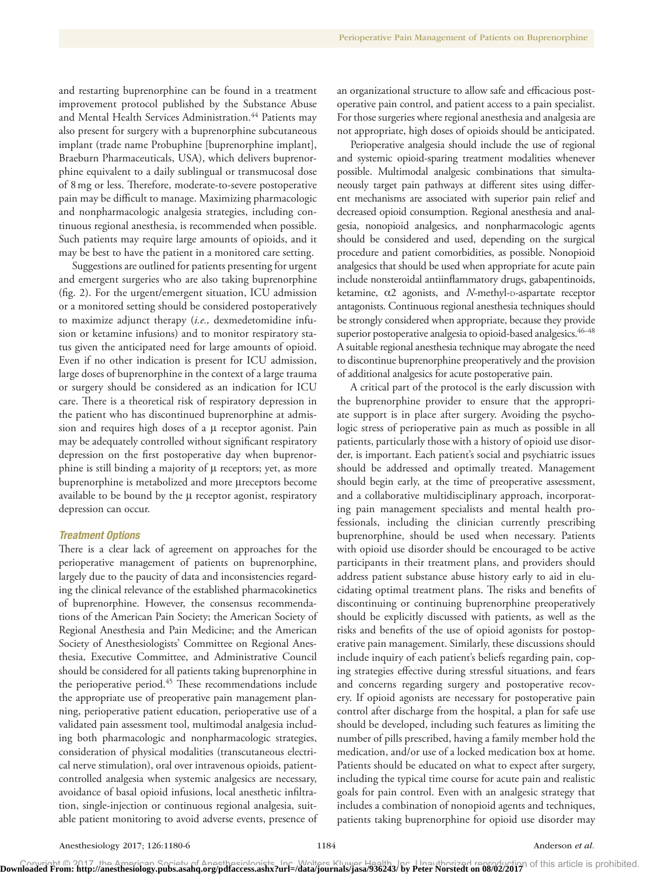and restarting buprenorphine can be found in a treatment improvement protocol published by the Substance Abuse and Mental Health Services Administration.<sup>44</sup> Patients may also present for surgery with a buprenorphine subcutaneous implant (trade name Probuphine [buprenorphine implant], Braeburn Pharmaceuticals, USA), which delivers buprenorphine equivalent to a daily sublingual or transmucosal dose of 8mg or less. Therefore, moderate-to-severe postoperative pain may be difficult to manage. Maximizing pharmacologic and nonpharmacologic analgesia strategies, including continuous regional anesthesia, is recommended when possible. Such patients may require large amounts of opioids, and it may be best to have the patient in a monitored care setting.

Suggestions are outlined for patients presenting for urgent and emergent surgeries who are also taking buprenorphine (fig. 2). For the urgent/emergent situation, ICU admission or a monitored setting should be considered postoperatively to maximize adjunct therapy (*i.e.,* dexmedetomidine infusion or ketamine infusions) and to monitor respiratory status given the anticipated need for large amounts of opioid. Even if no other indication is present for ICU admission, large doses of buprenorphine in the context of a large trauma or surgery should be considered as an indication for ICU care. There is a theoretical risk of respiratory depression in the patient who has discontinued buprenorphine at admission and requires high doses of a μ receptor agonist. Pain may be adequately controlled without significant respiratory depression on the first postoperative day when buprenorphine is still binding a majority of μ receptors; yet, as more buprenorphine is metabolized and more μreceptors become available to be bound by the  $\mu$  receptor agonist, respiratory depression can occur.

#### *Treatment Options*

There is a clear lack of agreement on approaches for the perioperative management of patients on buprenorphine, largely due to the paucity of data and inconsistencies regarding the clinical relevance of the established pharmacokinetics of buprenorphine. However, the consensus recommendations of the American Pain Society; the American Society of Regional Anesthesia and Pain Medicine; and the American Society of Anesthesiologists' Committee on Regional Anesthesia, Executive Committee, and Administrative Council should be considered for all patients taking buprenorphine in the perioperative period.<sup>45</sup> These recommendations include the appropriate use of preoperative pain management planning, perioperative patient education, perioperative use of a validated pain assessment tool, multimodal analgesia including both pharmacologic and nonpharmacologic strategies, consideration of physical modalities (transcutaneous electrical nerve stimulation), oral over intravenous opioids, patientcontrolled analgesia when systemic analgesics are necessary, avoidance of basal opioid infusions, local anesthetic infiltration, single-injection or continuous regional analgesia, suitable patient monitoring to avoid adverse events, presence of an organizational structure to allow safe and efficacious postoperative pain control, and patient access to a pain specialist. For those surgeries where regional anesthesia and analgesia are not appropriate, high doses of opioids should be anticipated.

Perioperative analgesia should include the use of regional and systemic opioid-sparing treatment modalities whenever possible. Multimodal analgesic combinations that simultaneously target pain pathways at different sites using different mechanisms are associated with superior pain relief and decreased opioid consumption. Regional anesthesia and analgesia, nonopioid analgesics, and nonpharmacologic agents should be considered and used, depending on the surgical procedure and patient comorbidities, as possible. Nonopioid analgesics that should be used when appropriate for acute pain include nonsteroidal antiinflammatory drugs, gabapentinoids, ketamine, α2 agonists, and *N*-methyl-D-aspartate receptor antagonists. Continuous regional anesthesia techniques should be strongly considered when appropriate, because they provide superior postoperative analgesia to opioid-based analgesics.  $46-48$ A suitable regional anesthesia technique may abrogate the need to discontinue buprenorphine preoperatively and the provision of additional analgesics for acute postoperative pain.

A critical part of the protocol is the early discussion with the buprenorphine provider to ensure that the appropriate support is in place after surgery. Avoiding the psychologic stress of perioperative pain as much as possible in all patients, particularly those with a history of opioid use disorder, is important. Each patient's social and psychiatric issues should be addressed and optimally treated. Management should begin early, at the time of preoperative assessment, and a collaborative multidisciplinary approach, incorporating pain management specialists and mental health professionals, including the clinician currently prescribing buprenorphine, should be used when necessary. Patients with opioid use disorder should be encouraged to be active participants in their treatment plans, and providers should address patient substance abuse history early to aid in elucidating optimal treatment plans. The risks and benefits of discontinuing or continuing buprenorphine preoperatively should be explicitly discussed with patients, as well as the risks and benefits of the use of opioid agonists for postoperative pain management. Similarly, these discussions should include inquiry of each patient's beliefs regarding pain, coping strategies effective during stressful situations, and fears and concerns regarding surgery and postoperative recovery. If opioid agonists are necessary for postoperative pain control after discharge from the hospital, a plan for safe use should be developed, including such features as limiting the number of pills prescribed, having a family member hold the medication, and/or use of a locked medication box at home. Patients should be educated on what to expect after surgery, including the typical time course for acute pain and realistic goals for pain control. Even with an analgesic strategy that includes a combination of nonopioid agents and techniques, patients taking buprenorphine for opioid use disorder may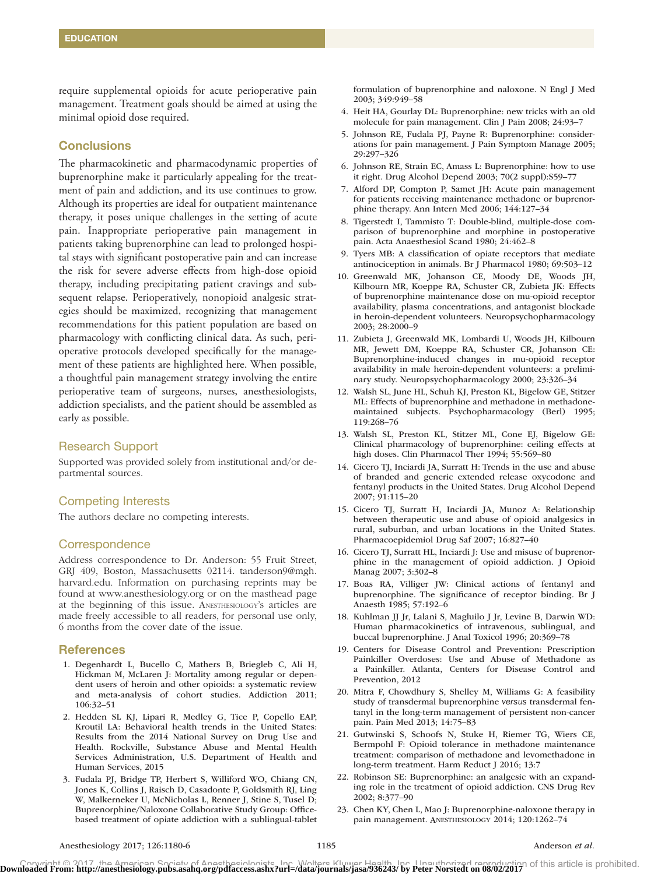require supplemental opioids for acute perioperative pain management. Treatment goals should be aimed at using the minimal opioid dose required.

## **Conclusions**

The pharmacokinetic and pharmacodynamic properties of buprenorphine make it particularly appealing for the treatment of pain and addiction, and its use continues to grow. Although its properties are ideal for outpatient maintenance therapy, it poses unique challenges in the setting of acute pain. Inappropriate perioperative pain management in patients taking buprenorphine can lead to prolonged hospital stays with significant postoperative pain and can increase the risk for severe adverse effects from high-dose opioid therapy, including precipitating patient cravings and subsequent relapse. Perioperatively, nonopioid analgesic strategies should be maximized, recognizing that management recommendations for this patient population are based on pharmacology with conflicting clinical data. As such, perioperative protocols developed specifically for the management of these patients are highlighted here. When possible, a thoughtful pain management strategy involving the entire perioperative team of surgeons, nurses, anesthesiologists, addiction specialists, and the patient should be assembled as early as possible.

### Research Support

Supported was provided solely from institutional and/or departmental sources.

#### Competing Interests

The authors declare no competing interests.

## **Correspondence**

Address correspondence to Dr. Anderson: 55 Fruit Street, GRJ 409, Boston, Massachusetts 02114. [tanderson9@mgh.](mailto:tanderson9@mgh.harvard.edu) [harvard.edu.](mailto:tanderson9@mgh.harvard.edu) Information on purchasing reprints may be found at<www.anesthesiology.org> or on the masthead page at the beginning of this issue. ANESTHESIOLOGY's articles are made freely accessible to all readers, for personal use only, 6 months from the cover date of the issue.

#### **References**

- 1. Degenhardt L, Bucello C, Mathers B, Briegleb C, Ali H, Hickman M, McLaren J: Mortality among regular or dependent users of heroin and other opioids: a systematic review and meta-analysis of cohort studies. Addiction 2011; 106:32–51
- 2. Hedden SL KJ, Lipari R, Medley G, Tice P, Copello EAP, Kroutil LA: Behavioral health trends in the United States: Results from the 2014 National Survey on Drug Use and Health. Rockville, Substance Abuse and Mental Health Services Administration, U.S. Department of Health and Human Services, 2015
- 3. Fudala PJ, Bridge TP, Herbert S, Williford WO, Chiang CN, Jones K, Collins J, Raisch D, Casadonte P, Goldsmith RJ, Ling W, Malkerneker U, McNicholas L, Renner J, Stine S, Tusel D; Buprenorphine/Naloxone Collaborative Study Group: Officebased treatment of opiate addiction with a sublingual-tablet

formulation of buprenorphine and naloxone. N Engl J Med 2003; 349:949–58

- 4. Heit HA, Gourlay DL: Buprenorphine: new tricks with an old molecule for pain management. Clin J Pain 2008; 24:93–7
- 5. Johnson RE, Fudala PJ, Payne R: Buprenorphine: considerations for pain management. J Pain Symptom Manage 2005; 29:297–326
- 6. Johnson RE, Strain EC, Amass L: Buprenorphine: how to use it right. Drug Alcohol Depend 2003; 70(2 suppl):S59–77
- 7. Alford DP, Compton P, Samet JH: Acute pain management for patients receiving maintenance methadone or buprenorphine therapy. Ann Intern Med 2006; 144:127–34
- 8. Tigerstedt I, Tammisto T: Double-blind, multiple-dose comparison of buprenorphine and morphine in postoperative pain. Acta Anaesthesiol Scand 1980; 24:462–8
- 9. Tyers MB: A classification of opiate receptors that mediate antinociception in animals. Br J Pharmacol 1980; 69:503–12
- 10. Greenwald MK, Johanson CE, Moody DE, Woods JH, Kilbourn MR, Koeppe RA, Schuster CR, Zubieta JK: Effects of buprenorphine maintenance dose on mu-opioid receptor availability, plasma concentrations, and antagonist blockade in heroin-dependent volunteers. Neuropsychopharmacology 2003; 28:2000–9
- 11. Zubieta J, Greenwald MK, Lombardi U, Woods JH, Kilbourn MR, Jewett DM, Koeppe RA, Schuster CR, Johanson CE: Buprenorphine-induced changes in mu-opioid receptor availability in male heroin-dependent volunteers: a preliminary study. Neuropsychopharmacology 2000; 23:326–34
- 12. Walsh SL, June HL, Schuh KJ, Preston KL, Bigelow GE, Stitzer ML: Effects of buprenorphine and methadone in methadonemaintained subjects. Psychopharmacology (Berl) 1995; 119:268–76
- 13. Walsh SL, Preston KL, Stitzer ML, Cone EJ, Bigelow GE: Clinical pharmacology of buprenorphine: ceiling effects at high doses. Clin Pharmacol Ther 1994; 55:569–80
- 14. Cicero TJ, Inciardi JA, Surratt H: Trends in the use and abuse of branded and generic extended release oxycodone and fentanyl products in the United States. Drug Alcohol Depend 2007; 91:115–20
- 15. Cicero TJ, Surratt H, Inciardi JA, Munoz A: Relationship between therapeutic use and abuse of opioid analgesics in rural, suburban, and urban locations in the United States. Pharmacoepidemiol Drug Saf 2007; 16:827–40
- 16. Cicero TJ, Surratt HL, Inciardi J: Use and misuse of buprenorphine in the management of opioid addiction. J Opioid Manag 2007; 3:302–8
- 17. Boas RA, Villiger JW: Clinical actions of fentanyl and buprenorphine. The significance of receptor binding. Br J Anaesth 1985; 57:192–6
- 18. Kuhlman JJ Jr, Lalani S, Magluilo J Jr, Levine B, Darwin WD: Human pharmacokinetics of intravenous, sublingual, and buccal buprenorphine. J Anal Toxicol 1996; 20:369–78
- 19. Centers for Disease Control and Prevention: Prescription Painkiller Overdoses: Use and Abuse of Methadone as a Painkiller. Atlanta, Centers for Disease Control and Prevention, 2012
- 20. Mitra F, Chowdhury S, Shelley M, Williams G: A feasibility study of transdermal buprenorphine *versus* transdermal fentanyl in the long-term management of persistent non-cancer pain. Pain Med 2013; 14:75–83
- 21. Gutwinski S, Schoofs N, Stuke H, Riemer TG, Wiers CE, Bermpohl F: Opioid tolerance in methadone maintenance treatment: comparison of methadone and levomethadone in long-term treatment. Harm Reduct J 2016; 13:7
- 22. Robinson SE: Buprenorphine: an analgesic with an expanding role in the treatment of opioid addiction. CNS Drug Rev 2002; 8:377–90
- 23. Chen KY, Chen L, Mao J: Buprenorphine-naloxone therapy in pain management. ANESTHESIOLOGY 2014; 120:1262–74